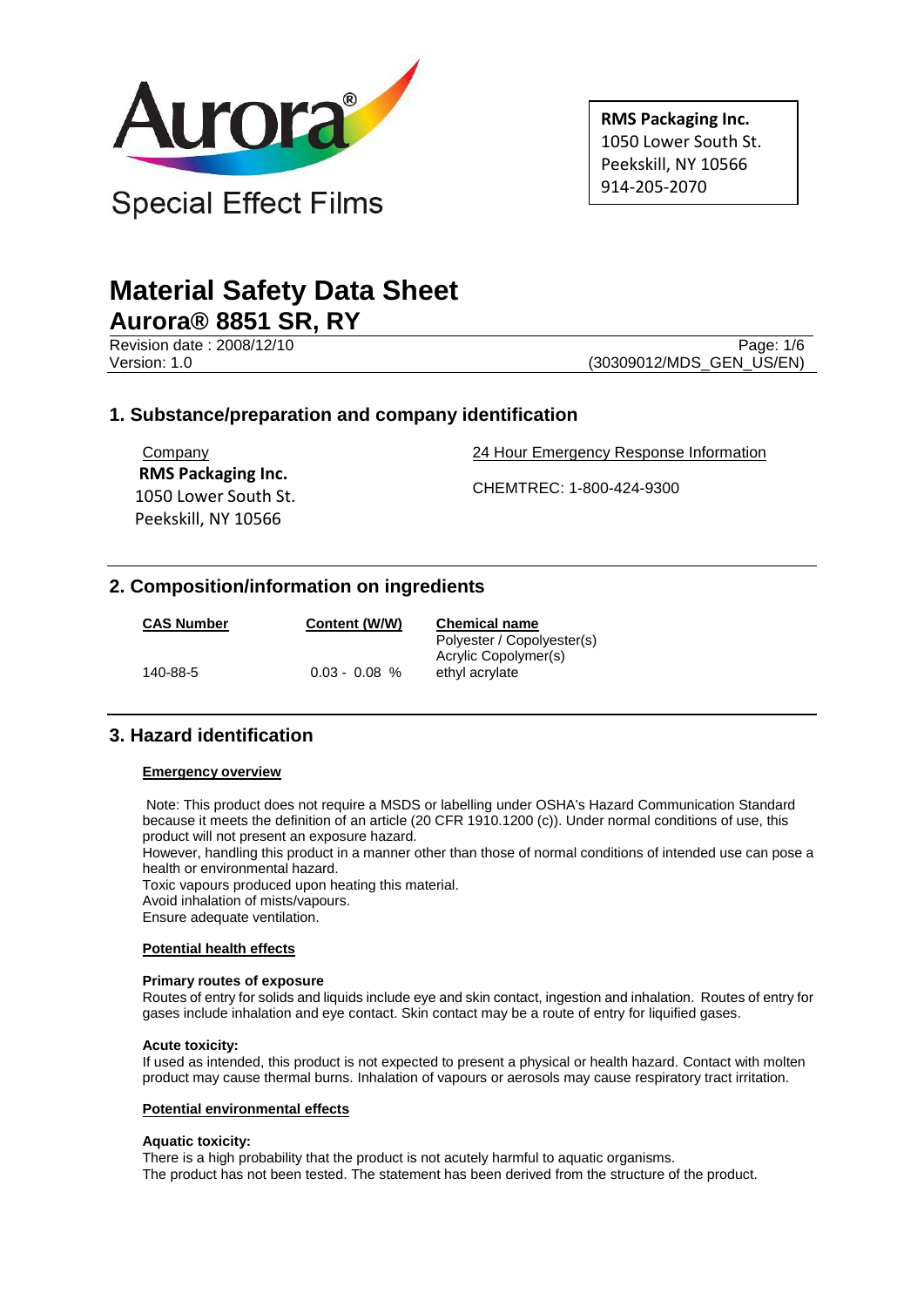

**RMS Packaging Inc.** 1050 Lower South St. Peekskill, NY 10566 914-205-2070

# **Material Safety Data Sheet Aurora® 8851 SR, RY**

Revision date: 2008/12/10 Page: 1/6

Version: 1.0 (30309012/MDS\_GEN\_US/EN)

# **1. Substance/preparation and company identification**

Company  **RMS Packaging Inc.** 1050 Lower South St. Peekskill, NY 10566

24 Hour Emergency Response Information

CHEMTREC: 1-800-424-9300

# **2. Composition/information on ingredients**

| <b>CAS Number</b> | Content (W/W)   | <b>Chemical name</b>                               |
|-------------------|-----------------|----------------------------------------------------|
|                   |                 | Polyester / Copolyester(s)<br>Acrylic Copolymer(s) |
| 140-88-5          | $0.03 - 0.08 %$ | ethyl acrylate                                     |

# **3. Hazard identification**

#### **Emergency overview**

Note: This product does not require a MSDS or labelling under OSHA's Hazard Communication Standard because it meets the definition of an article (20 CFR 1910.1200 (c)). Under normal conditions of use, this product will not present an exposure hazard.

However, handling this product in a manner other than those of normal conditions of intended use can pose a health or environmental hazard.

Toxic vapours produced upon heating this material.

Avoid inhalation of mists/vapours.

Ensure adequate ventilation.

#### **Potential health effects**

#### **Primary routes of exposure**

Routes of entry for solids and liquids include eye and skin contact, ingestion and inhalation. Routes of entry for gases include inhalation and eye contact. Skin contact may be a route of entry for liquified gases.

#### **Acute toxicity:**

If used as intended, this product is not expected to present a physical or health hazard. Contact with molten product may cause thermal burns. Inhalation of vapours or aerosols may cause respiratory tract irritation.

#### **Potential environmental effects**

#### **Aquatic toxicity:**

There is a high probability that the product is not acutely harmful to aquatic organisms. The product has not been tested. The statement has been derived from the structure of the product.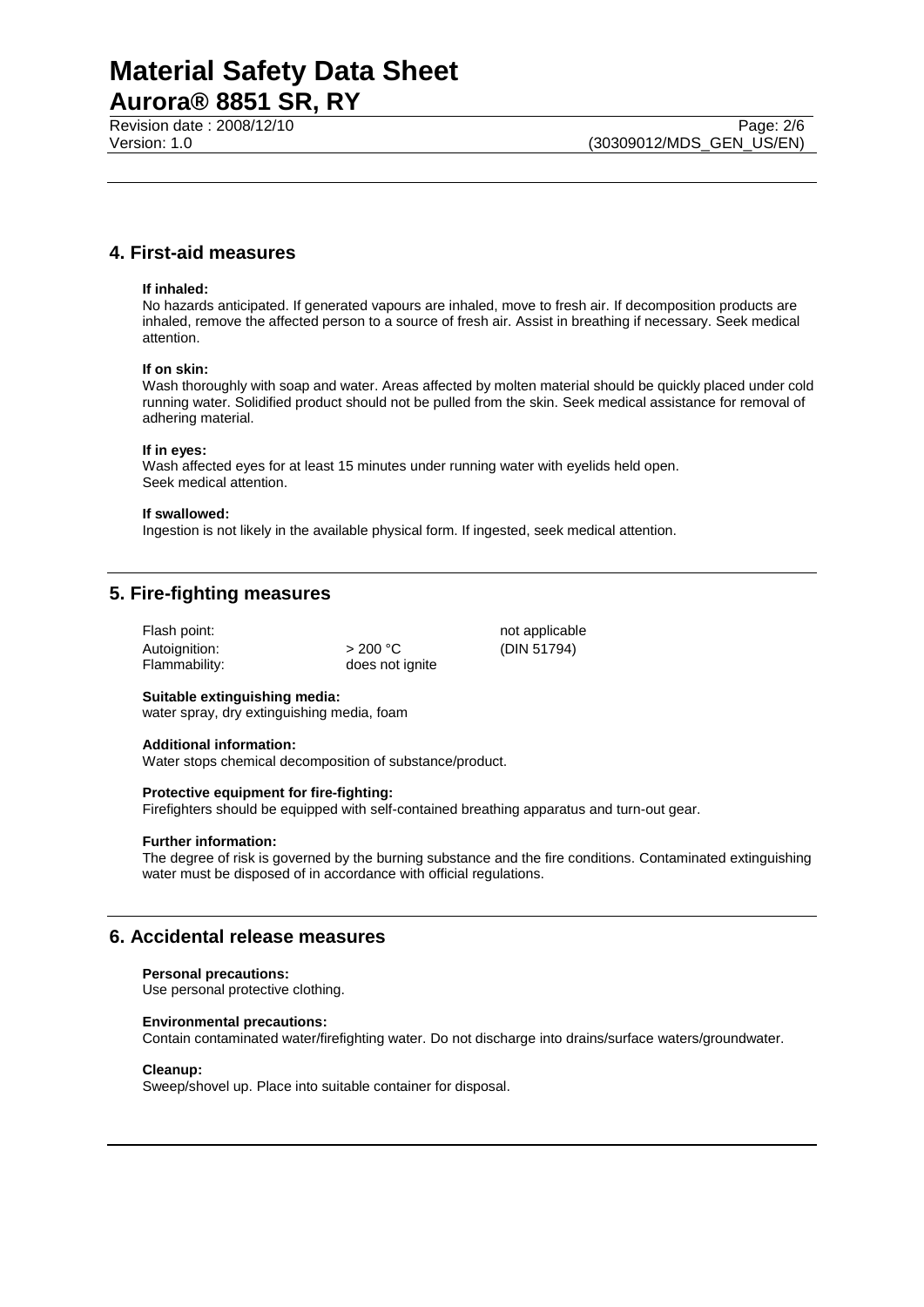Revision date : 2008/12/10 Page: 2/6<br>Version: 1.0 (30309012/MDS\_GEN\_US/EN)

# **4. First-aid measures**

#### **If inhaled:**

No hazards anticipated. If generated vapours are inhaled, move to fresh air. If decomposition products are inhaled, remove the affected person to a source of fresh air. Assist in breathing if necessary. Seek medical attention.

#### **If on skin:**

Wash thoroughly with soap and water. Areas affected by molten material should be quickly placed under cold running water. Solidified product should not be pulled from the skin. Seek medical assistance for removal of adhering material.

#### **If in eyes:**

Wash affected eyes for at least 15 minutes under running water with eyelids held open. Seek medical attention.

#### **If swallowed:**

Ingestion is not likely in the available physical form. If ingested, seek medical attention.

### **5. Fire-fighting measures**

| Flash point:  |                 | not applicable |
|---------------|-----------------|----------------|
| Autoignition: | $>$ 200 °C      | (DIN 51794)    |
| Flammability: | does not ignite |                |

#### **Suitable extinguishing media:**

water spray, dry extinguishing media, foam

#### **Additional information:**

Water stops chemical decomposition of substance/product.

#### **Protective equipment for fire-fighting:**

Firefighters should be equipped with self-contained breathing apparatus and turn-out gear.

#### **Further information:**

The degree of risk is governed by the burning substance and the fire conditions. Contaminated extinguishing water must be disposed of in accordance with official regulations.

### **6. Accidental release measures**

#### **Personal precautions:**

Use personal protective clothing.

#### **Environmental precautions:**

Contain contaminated water/firefighting water. Do not discharge into drains/surface waters/groundwater.

#### **Cleanup:**

Sweep/shovel up. Place into suitable container for disposal.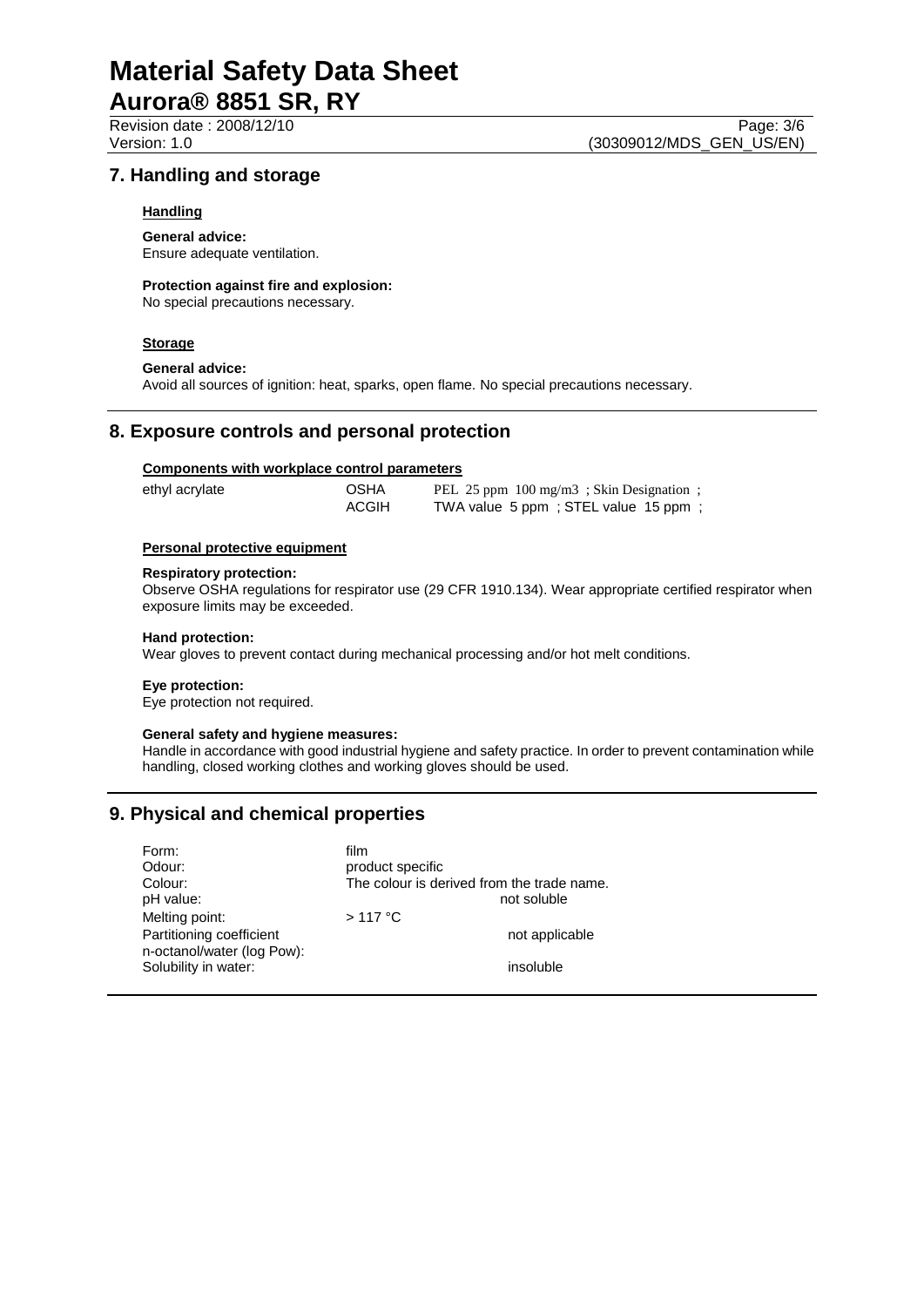# **Material Safety Data Sheet**

# **Aurora® 8851 SR, RY**

# **7. Handling and storage**

#### **Handling**

**General advice:** Ensure adequate ventilation.

#### **Protection against fire and explosion:**

No special precautions necessary.

#### **Storage**

#### **General advice:**

Avoid all sources of ignition: heat, sparks, open flame. No special precautions necessary.

### **8. Exposure controls and personal protection**

#### **Components with workplace control parameters**

| ethyl acrylate | OSHA         | PEL 25 ppm 100 mg/m3; Skin Designation; |
|----------------|--------------|-----------------------------------------|
|                | <b>ACGIH</b> | TWA value 5 ppm; STEL value 15 ppm;     |

#### **Personal protective equipment**

#### **Respiratory protection:**

Observe OSHA regulations for respirator use (29 CFR 1910.134). Wear appropriate certified respirator when exposure limits may be exceeded.

#### **Hand protection:**

Wear gloves to prevent contact during mechanical processing and/or hot melt conditions.

#### **Eye protection:**

Eye protection not required.

#### **General safety and hygiene measures:**

Handle in accordance with good industrial hygiene and safety practice. In order to prevent contamination while handling, closed working clothes and working gloves should be used.

# **9. Physical and chemical properties**

| Form:                                              | film                                       |
|----------------------------------------------------|--------------------------------------------|
| Odour:                                             | product specific                           |
| Colour:                                            | The colour is derived from the trade name. |
| pH value:                                          | not soluble                                |
| Melting point:                                     | $>117$ °C                                  |
| Partitioning coefficient                           | not applicable                             |
| n-octanol/water (log Pow):<br>Solubility in water: | insoluble                                  |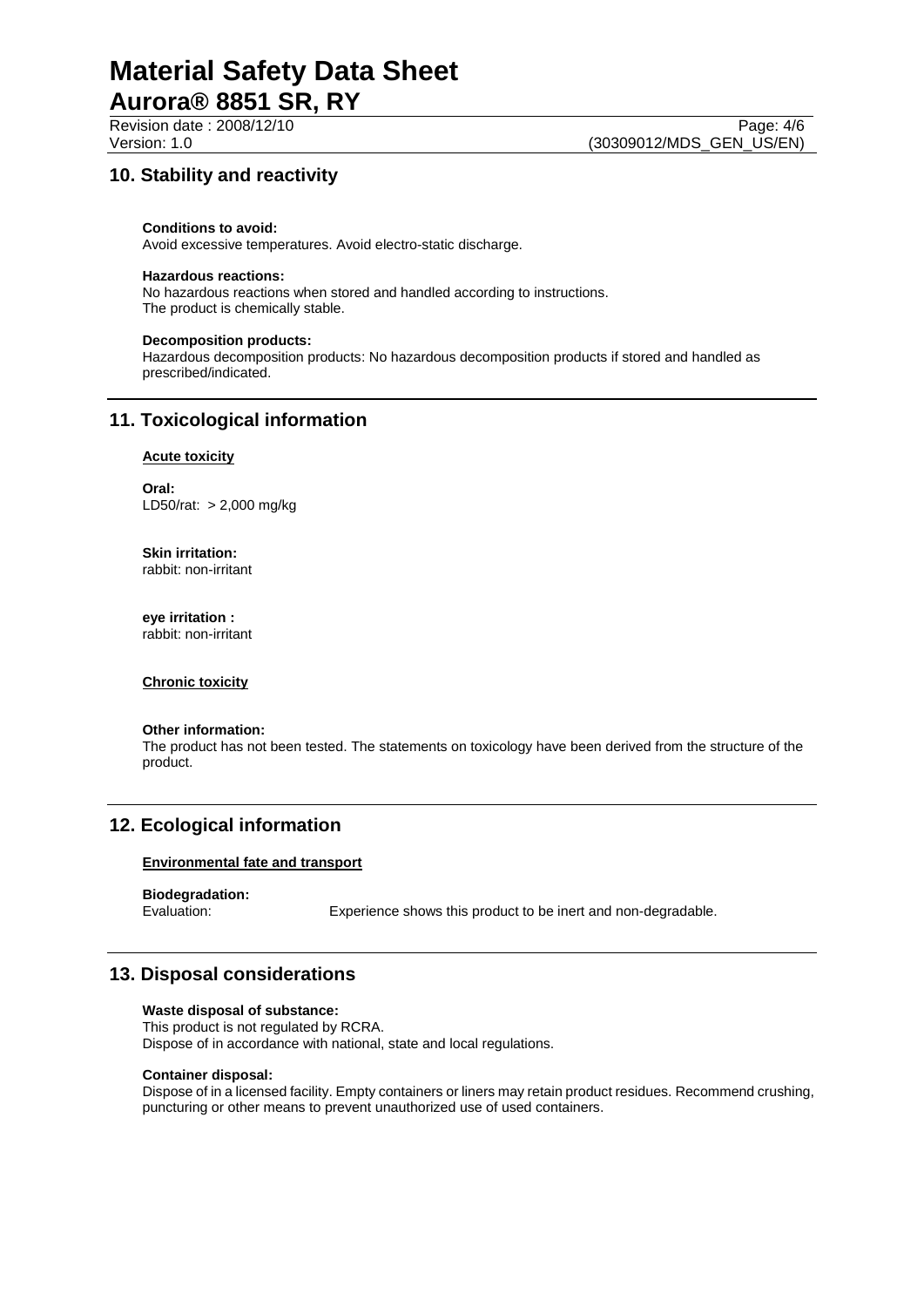# **10. Stability and reactivity**

#### **Conditions to avoid:**

Avoid excessive temperatures. Avoid electro-static discharge.

#### **Hazardous reactions:**

No hazardous reactions when stored and handled according to instructions. The product is chemically stable.

#### **Decomposition products:**

Hazardous decomposition products: No hazardous decomposition products if stored and handled as prescribed/indicated.

### **11. Toxicological information**

#### **Acute toxicity**

**Oral:** LD50/rat: > 2,000 mg/kg

**Skin irritation:** rabbit: non-irritant

**eye irritation :** rabbit: non-irritant

#### **Chronic toxicity**

#### **Other information:**

The product has not been tested. The statements on toxicology have been derived from the structure of the product.

# **12. Ecological information**

#### **Environmental fate and transport**

**Biodegradation:**

Experience shows this product to be inert and non-degradable.

# **13. Disposal considerations**

#### **Waste disposal of substance:**

This product is not regulated by RCRA. Dispose of in accordance with national, state and local regulations.

#### **Container disposal:**

Dispose of in a licensed facility. Empty containers or liners may retain product residues. Recommend crushing, puncturing or other means to prevent unauthorized use of used containers.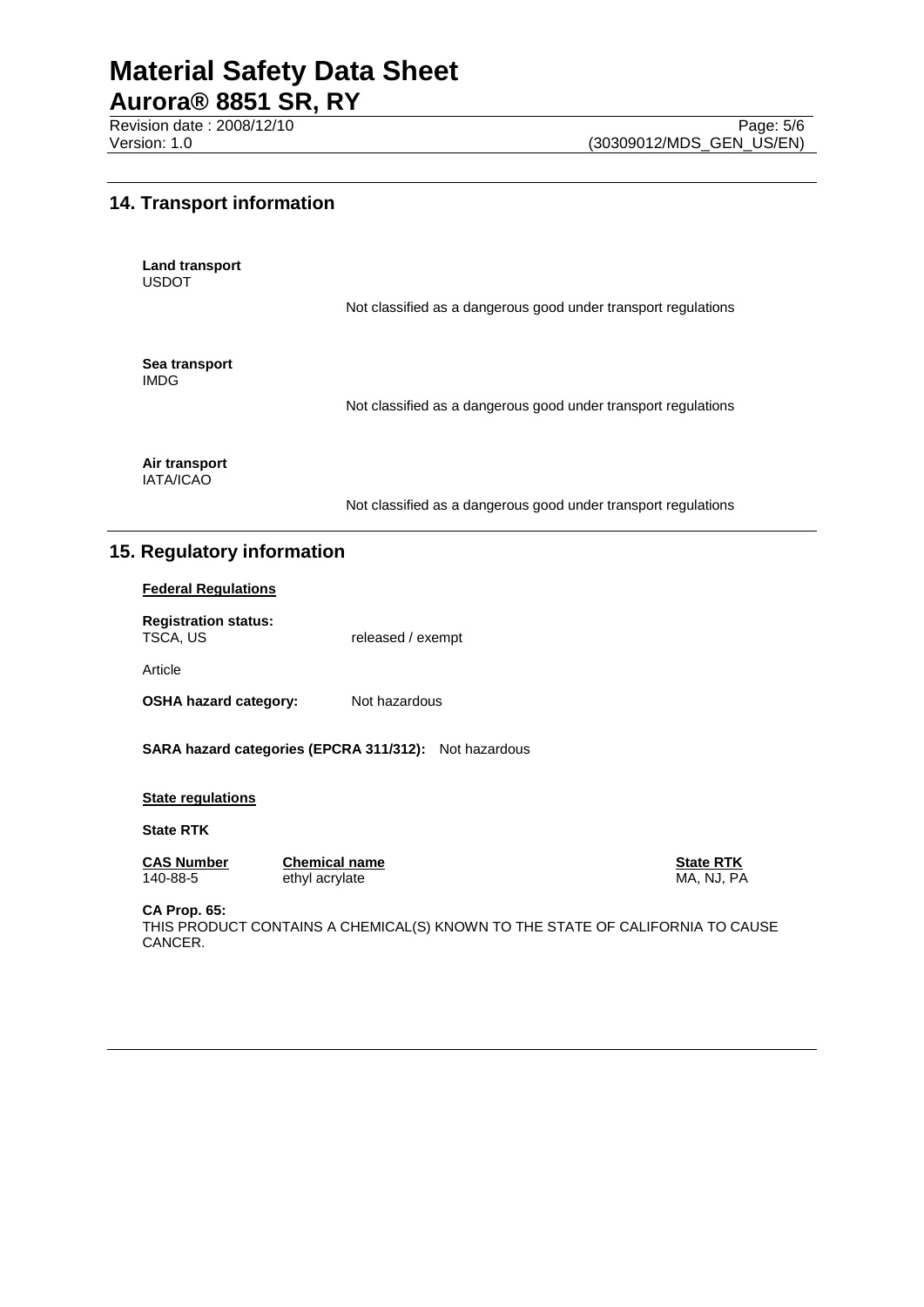Revision date : 2008/12/10 Page: 5/6<br>Version: 1.0 (30309012/MDS\_GEN\_US/EN)

# **14. Transport information**

**Land transport** USDOT

Not classified as a dangerous good under transport regulations

**Sea transport** IMDG

Not classified as a dangerous good under transport regulations

**Air transport** IATA/ICAO

Not classified as a dangerous good under transport regulations

# **15. Regulatory information**

#### **Federal Regulations**

**Registration status:** released / exempt

Article

**OSHA hazard category:** Not hazardous

**SARA hazard categories (EPCRA 311/312):** Not hazardous

#### **State regulations**

**State RTK**

**CAS Number Chemical name Chemical name State RTK**<br>140-88-5 ethyl acrylate **Channel Chemical State RTK**<br>MA, NJ, PA

ethyl acrylate MA, NJ, PA

**CA Prop. 65:**

THIS PRODUCT CONTAINS A CHEMICAL(S) KNOWN TO THE STATE OF CALIFORNIA TO CAUSE CANCER.